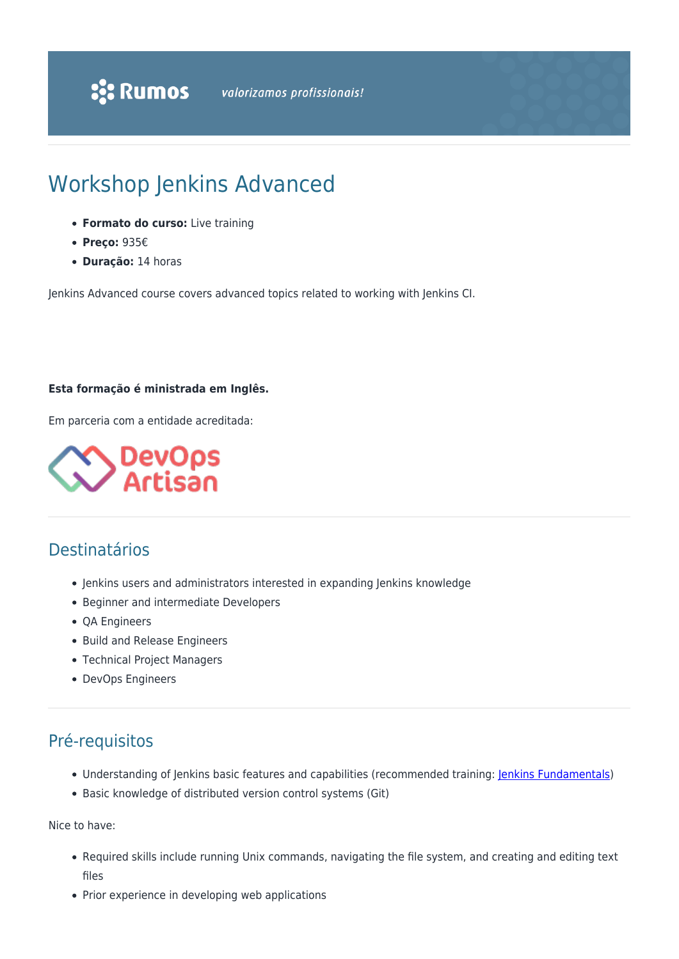# Workshop Jenkins Advanced

- **Formato do curso:** Live training
- **Preço:** 935€
- **Duração:** 14 horas

Jenkins Advanced course covers advanced topics related to working with Jenkins CI.

#### **Esta formação é ministrada em Inglês.**

Em parceria com a entidade acreditada:



### Destinatários

- Jenkins users and administrators interested in expanding Jenkins knowledge
- Beginner and intermediate Developers
- QA Engineers
- Build and Release Engineers
- Technical Project Managers
- DevOps Engineers

# Pré-requisitos

- Understanding of Jenkins basic features and capabilities (recommended training: [Jenkins Fundamentals](https://www.rumos.pt/curso/workshop-jenkins-fundamentals-live-training/))
- Basic knowledge of distributed version control systems (Git)

Nice to have:

- Required skills include running Unix commands, navigating the file system, and creating and editing text files
- Prior experience in developing web applications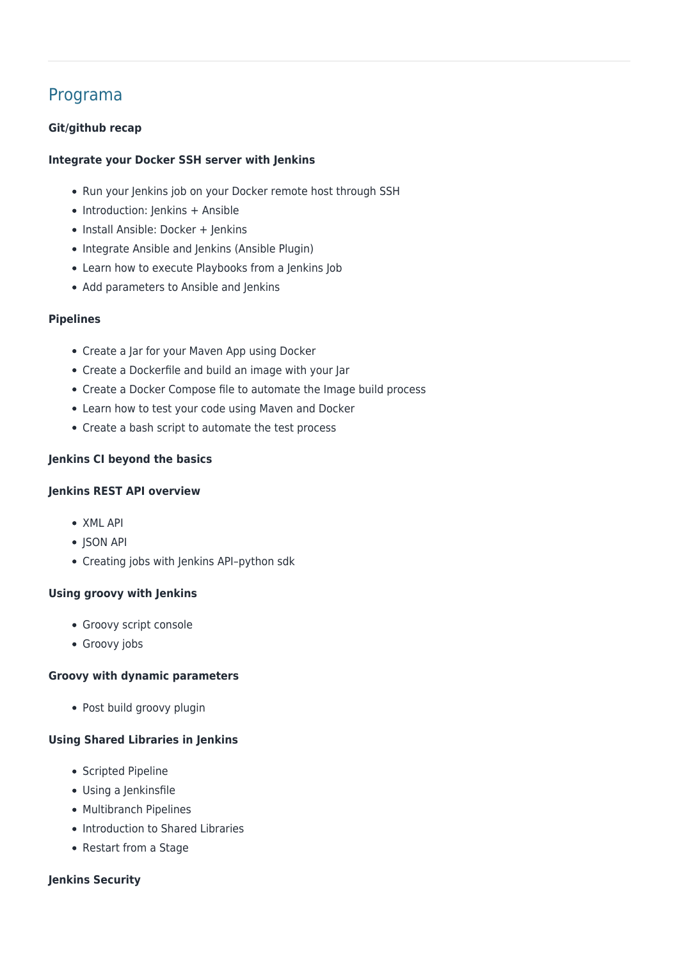## Programa

#### **Git/github recap**

#### **Integrate your Docker SSH server with Jenkins**

- Run your Jenkins job on your Docker remote host through SSH
- Introduction: Jenkins + Ansible
- Install Ansible: Docker + Jenkins
- Integrate Ansible and Jenkins (Ansible Plugin)
- Learn how to execute Playbooks from a Jenkins Job
- Add parameters to Ansible and Jenkins

#### **Pipelines**

- Create a Jar for your Maven App using Docker
- Create a Dockerfile and build an image with your Jar
- Create a Docker Compose file to automate the Image build process
- Learn how to test your code using Maven and Docker
- Create a bash script to automate the test process

#### **Jenkins CI beyond the basics**

#### **Jenkins REST API overview**

- XML API
- ISON API
- Creating jobs with Jenkins API–python sdk

#### **Using groovy with Jenkins**

- Groovy script console
- Groovy jobs

#### **Groovy with dynamic parameters**

Post build groovy plugin

#### **Using Shared Libraries in Jenkins**

- Scripted Pipeline
- Using a Jenkinsfile
- Multibranch Pipelines
- Introduction to Shared Libraries
- Restart from a Stage

#### **Jenkins Security**